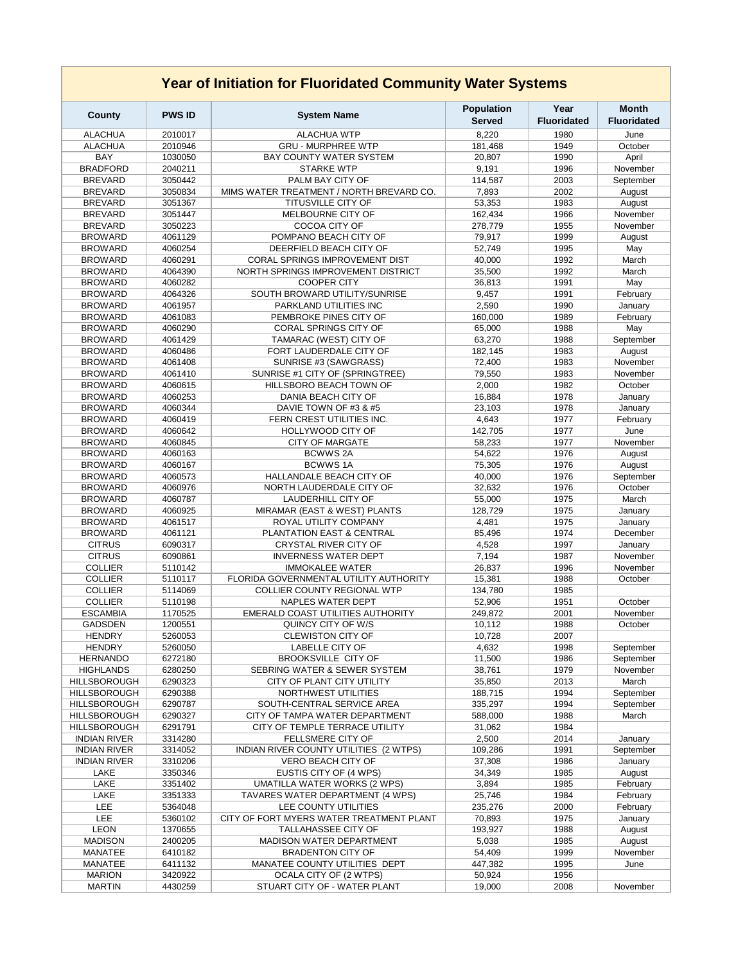| <b>Year of Initiation for Fluoridated Community Water Systems</b> |                    |                                                             |                                    |                            |                                    |  |  |  |  |
|-------------------------------------------------------------------|--------------------|-------------------------------------------------------------|------------------------------------|----------------------------|------------------------------------|--|--|--|--|
| <b>County</b>                                                     | <b>PWS ID</b>      | <b>System Name</b>                                          | <b>Population</b><br><b>Served</b> | Year<br><b>Fluoridated</b> | <b>Month</b><br><b>Fluoridated</b> |  |  |  |  |
| <b>ALACHUA</b>                                                    | 2010017            | <b>ALACHUA WTP</b>                                          | 8,220                              | 1980                       | June                               |  |  |  |  |
| <b>ALACHUA</b>                                                    | 2010946            | <b>GRU - MURPHREE WTP</b>                                   | 181,468                            | 1949                       | October                            |  |  |  |  |
| <b>BAY</b>                                                        | 1030050            | <b>BAY COUNTY WATER SYSTEM</b>                              | 20,807                             | 1990                       | April                              |  |  |  |  |
| <b>BRADFORD</b>                                                   | 2040211            | <b>STARKE WTP</b>                                           | 9,191                              | 1996                       | November                           |  |  |  |  |
| <b>BREVARD</b>                                                    | 3050442            | PALM BAY CITY OF                                            | 114,587                            | 2003                       | September                          |  |  |  |  |
| <b>BREVARD</b>                                                    | 3050834            | MIMS WATER TREATMENT / NORTH BREVARD CO.                    | 7,893                              | 2002                       | August                             |  |  |  |  |
| <b>BREVARD</b>                                                    | 3051367            | <b>TITUSVILLE CITY OF</b>                                   | 53,353                             | 1983                       | August                             |  |  |  |  |
| <b>BREVARD</b><br><b>BREVARD</b>                                  | 3051447<br>3050223 | MELBOURNE CITY OF<br><b>COCOA CITY OF</b>                   | 162,434<br>278,779                 | 1966<br>1955               | November<br>November               |  |  |  |  |
| <b>BROWARD</b>                                                    | 4061129            | POMPANO BEACH CITY OF                                       | 79,917                             | 1999                       | August                             |  |  |  |  |
| <b>BROWARD</b>                                                    | 4060254            | DEERFIELD BEACH CITY OF                                     | 52,749                             | 1995                       | May                                |  |  |  |  |
| <b>BROWARD</b>                                                    | 4060291            | <b>CORAL SPRINGS IMPROVEMENT DIST</b>                       | 40,000                             | 1992                       | March                              |  |  |  |  |
| <b>BROWARD</b>                                                    | 4064390            | NORTH SPRINGS IMPROVEMENT DISTRICT                          | 35,500                             | 1992                       | March                              |  |  |  |  |
| <b>BROWARD</b>                                                    | 4060282            | <b>COOPER CITY</b>                                          | 36,813                             | 1991                       | May                                |  |  |  |  |
| <b>BROWARD</b>                                                    | 4064326            | SOUTH BROWARD UTILITY/SUNRISE                               | 9,457                              | 1991                       | February                           |  |  |  |  |
| <b>BROWARD</b>                                                    | 4061957            | PARKLAND UTILITIES INC                                      | 2,590                              | 1990                       | January                            |  |  |  |  |
| <b>BROWARD</b>                                                    | 4061083            | PEMBROKE PINES CITY OF                                      | 160,000                            | 1989                       | February                           |  |  |  |  |
| <b>BROWARD</b>                                                    | 4060290            | <b>CORAL SPRINGS CITY OF</b>                                | 65,000                             | 1988                       | May                                |  |  |  |  |
| <b>BROWARD</b>                                                    | 4061429            | TAMARAC (WEST) CITY OF                                      | 63,270                             | 1988                       | September                          |  |  |  |  |
| <b>BROWARD</b>                                                    | 4060486            | FORT LAUDERDALE CITY OF                                     | 182,145                            | 1983                       | August                             |  |  |  |  |
| <b>BROWARD</b>                                                    | 4061408            | SUNRISE #3 (SAWGRASS)                                       | 72,400                             | 1983                       | November                           |  |  |  |  |
| <b>BROWARD</b>                                                    | 4061410            | SUNRISE #1 CITY OF (SPRINGTREE)                             | 79,550                             | 1983                       | November                           |  |  |  |  |
| <b>BROWARD</b><br><b>BROWARD</b>                                  | 4060615<br>4060253 | <b>HILLSBORO BEACH TOWN OF</b><br>DANIA BEACH CITY OF       | 2,000<br>16,884                    | 1982<br>1978               | October                            |  |  |  |  |
| <b>BROWARD</b>                                                    | 4060344            | DAVIE TOWN OF #3 & #5                                       | 23,103                             | 1978                       | January<br>January                 |  |  |  |  |
| <b>BROWARD</b>                                                    | 4060419            | FERN CREST UTILITIES INC.                                   | 4,643                              | 1977                       | February                           |  |  |  |  |
| <b>BROWARD</b>                                                    | 4060642            | <b>HOLLYWOOD CITY OF</b>                                    | 142,705                            | 1977                       | June                               |  |  |  |  |
| <b>BROWARD</b>                                                    | 4060845            | <b>CITY OF MARGATE</b>                                      | 58,233                             | 1977                       | November                           |  |  |  |  |
| <b>BROWARD</b>                                                    | 4060163            | <b>BCWWS 2A</b>                                             | 54,622                             | 1976                       | August                             |  |  |  |  |
| <b>BROWARD</b>                                                    | 4060167            | <b>BCWWS1A</b>                                              | 75,305                             | 1976                       | August                             |  |  |  |  |
| <b>BROWARD</b>                                                    | 4060573            | HALLANDALE BEACH CITY OF                                    | 40,000                             | 1976                       | September                          |  |  |  |  |
| <b>BROWARD</b>                                                    | 4060976            | NORTH LAUDERDALE CITY OF                                    | 32,632                             | 1976                       | October                            |  |  |  |  |
| <b>BROWARD</b>                                                    | 4060787            | <b>LAUDERHILL CITY OF</b>                                   | 55,000                             | 1975                       | March                              |  |  |  |  |
| <b>BROWARD</b>                                                    | 4060925            | MIRAMAR (EAST & WEST) PLANTS                                | 128,729                            | 1975                       | January                            |  |  |  |  |
| <b>BROWARD</b>                                                    | 4061517            | ROYAL UTILITY COMPANY                                       | 4,481                              | 1975                       | January                            |  |  |  |  |
| <b>BROWARD</b>                                                    | 4061121            | PLANTATION EAST & CENTRAL                                   | 85,496                             | 1974                       | December                           |  |  |  |  |
| <b>CITRUS</b><br><b>CITRUS</b>                                    | 6090317<br>6090861 | <b>CRYSTAL RIVER CITY OF</b><br><b>INVERNESS WATER DEPT</b> | 4,528<br>7,194                     | 1997<br>1987               | January<br>November                |  |  |  |  |
| <b>COLLIER</b>                                                    | 5110142            | <b>IMMOKALEE WATER</b>                                      | 26,837                             | 1996                       | November                           |  |  |  |  |
| <b>COLLIER</b>                                                    | 5110117            | FLORIDA GOVERNMENTAL UTILITY AUTHORITY                      | 15,381                             | 1988                       | October                            |  |  |  |  |
| <b>COLLIER</b>                                                    | 5114069            | <b>COLLIER COUNTY REGIONAL WTP</b>                          | 134,780                            | 1985                       |                                    |  |  |  |  |
| <b>COLLIER</b>                                                    | 5110198            | NAPLES WATER DEPT                                           | 52,906                             | 1951                       | October                            |  |  |  |  |
| <b>ESCAMBIA</b>                                                   | 1170525            | EMERALD COAST UTILITIES AUTHORITY                           | 249,872                            | 2001                       | November                           |  |  |  |  |
| <b>GADSDEN</b>                                                    | 1200551            | QUINCY CITY OF W/S                                          | 10,112                             | 1988                       | October                            |  |  |  |  |
| <b>HENDRY</b>                                                     | 5260053            | <b>CLEWISTON CITY OF</b>                                    | 10,728                             | 2007                       |                                    |  |  |  |  |
| <b>HENDRY</b>                                                     | 5260050            | <b>LABELLE CITY OF</b>                                      | 4,632                              | 1998                       | September                          |  |  |  |  |
| <b>HERNANDO</b>                                                   | 6272180            | <b>BROOKSVILLE CITY OF</b>                                  | 11,500                             | 1986                       | September                          |  |  |  |  |
| <b>HIGHLANDS</b>                                                  | 6280250            | SEBRING WATER & SEWER SYSTEM                                | 38,761                             | 1979                       | November                           |  |  |  |  |
| <b>HILLSBOROUGH</b><br><b>HILLSBOROUGH</b>                        | 6290323<br>6290388 | CITY OF PLANT CITY UTILITY<br><b>NORTHWEST UTILITIES</b>    | 35,850<br>188,715                  | 2013<br>1994               | March<br>September                 |  |  |  |  |
| <b>HILLSBOROUGH</b>                                               | 6290787            | SOUTH-CENTRAL SERVICE AREA                                  | 335,297                            | 1994                       | September                          |  |  |  |  |
| <b>HILLSBOROUGH</b>                                               | 6290327            | CITY OF TAMPA WATER DEPARTMENT                              | 588,000                            | 1988                       | March                              |  |  |  |  |
| <b>HILLSBOROUGH</b>                                               | 6291791            | CITY OF TEMPLE TERRACE UTILITY                              | 31,062                             | 1984                       |                                    |  |  |  |  |
| <b>INDIAN RIVER</b>                                               | 3314280            | FELLSMERE CITY OF                                           | 2,500                              | 2014                       | January                            |  |  |  |  |
| <b>INDIAN RIVER</b>                                               | 3314052            | INDIAN RIVER COUNTY UTILITIES (2 WTPS)                      | 109,286                            | 1991                       | September                          |  |  |  |  |
| <b>INDIAN RIVER</b>                                               | 3310206            | <b>VERO BEACH CITY OF</b>                                   | 37,308                             | 1986                       | January                            |  |  |  |  |
| <b>LAKE</b>                                                       | 3350346            | <b>EUSTIS CITY OF (4 WPS)</b>                               | 34,349                             | 1985                       | August                             |  |  |  |  |
| <b>LAKE</b>                                                       | 3351402            | UMATILLA WATER WORKS (2 WPS)                                | 3,894                              | 1985                       | February                           |  |  |  |  |
| <b>LAKE</b>                                                       | 3351333            | TAVARES WATER DEPARTMENT (4 WPS)                            | 25,746                             | 1984                       | February                           |  |  |  |  |
| LEE                                                               | 5364048            | LEE COUNTY UTILITIES                                        | 235,276                            | 2000                       | February                           |  |  |  |  |
| <b>LEE</b>                                                        | 5360102            | CITY OF FORT MYERS WATER TREATMENT PLANT                    | 70,893                             | 1975                       | January                            |  |  |  |  |
| <b>LEON</b>                                                       | 1370655            | <b>TALLAHASSEE CITY OF</b>                                  | 193,927                            | 1988                       | August                             |  |  |  |  |
| <b>MADISON</b><br><b>MANATEE</b>                                  | 2400205<br>6410182 | <b>MADISON WATER DEPARTMENT</b><br><b>BRADENTON CITY OF</b> | 5,038<br>54,409                    | 1985<br>1999               | August<br>November                 |  |  |  |  |
| <b>MANATEE</b>                                                    | 6411132            | MANATEE COUNTY UTILITIES DEPT                               | 447,382                            | 1995                       | June                               |  |  |  |  |
| <b>MARION</b>                                                     | 3420922            | <b>OCALA CITY OF (2 WTPS)</b>                               | 50,924                             | 1956                       |                                    |  |  |  |  |
| <b>MARTIN</b>                                                     | 4430259            | STUART CITY OF - WATER PLANT                                | 19,000                             | 2008                       | November                           |  |  |  |  |